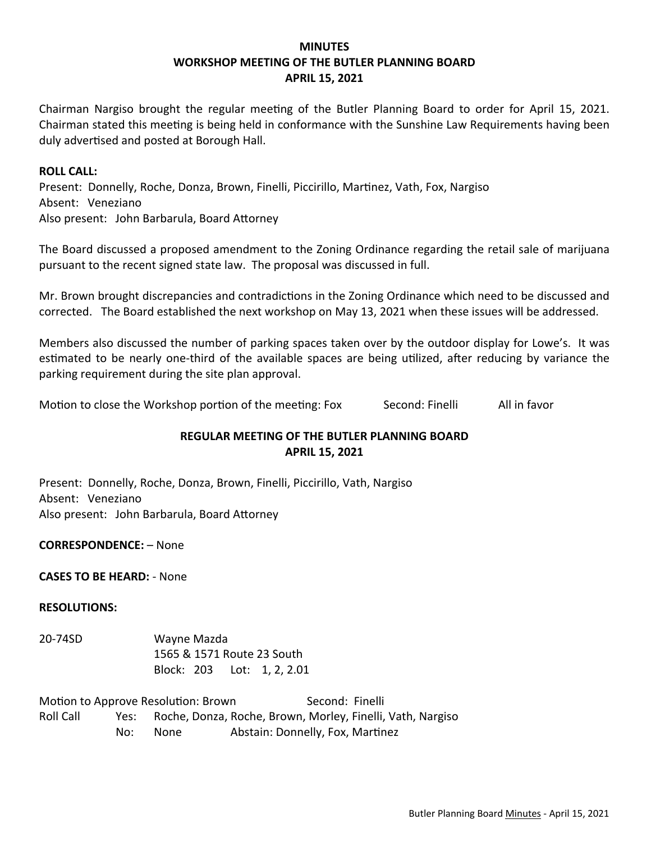## **MINUTES WORKSHOP MEETING OF THE BUTLER PLANNING BOARD APRIL 15, 2021**

Chairman Nargiso brought the regular meeting of the Butler Planning Board to order for April 15, 2021. Chairman stated this meeting is being held in conformance with the Sunshine Law Requirements having been duly advertised and posted at Borough Hall.

### **ROLL CALL:**

Present: Donnelly, Roche, Donza, Brown, Finelli, Piccirillo, Martinez, Vath, Fox, Nargiso Absent: Veneziano Also present: John Barbarula, Board Attorney

The Board discussed a proposed amendment to the Zoning Ordinance regarding the retail sale of marijuana pursuant to the recent signed state law. The proposal was discussed in full.

Mr. Brown brought discrepancies and contradictions in the Zoning Ordinance which need to be discussed and corrected. The Board established the next workshop on May 13, 2021 when these issues will be addressed.

Members also discussed the number of parking spaces taken over by the outdoor display for Lowe's. It was estimated to be nearly one-third of the available spaces are being utilized, after reducing by variance the parking requirement during the site plan approval.

Motion to close the Workshop portion of the meeting: Fox Second: Finelli All in favor

# **REGULAR MEETING OF THE BUTLER PLANNING BOARD APRIL 15, 2021**

Present: Donnelly, Roche, Donza, Brown, Finelli, Piccirillo, Vath, Nargiso Absent: Veneziano Also present: John Barbarula, Board Attorney

**CORRESPONDENCE:** – None

**CASES TO BE HEARD:** ‐ None

### **RESOLUTIONS:**

20‐74SD Wayne Mazda 1565 & 1571 Route 23 South Block: 203 Lot: 1, 2, 2.01

Motion to Approve Resolution: Brown Second: Finelli Roll Call Yes: Roche, Donza, Roche, Brown, Morley, Finelli, Vath, Nargiso No: None Abstain: Donnelly, Fox, Martinez